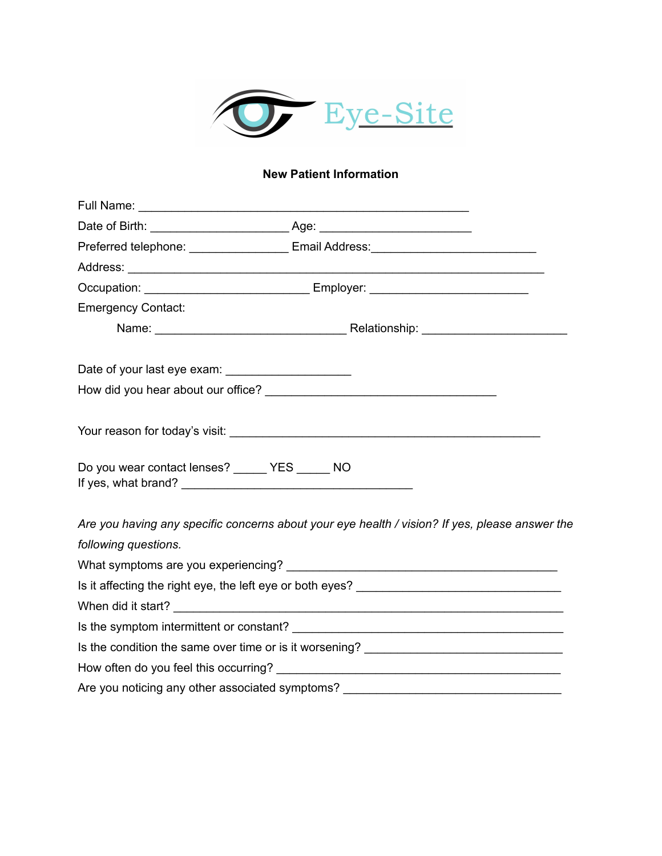

# **New Patient Information**

|                                                | Preferred telephone: ____________________ Email Address: _______________________               |  |
|------------------------------------------------|------------------------------------------------------------------------------------------------|--|
|                                                |                                                                                                |  |
|                                                |                                                                                                |  |
| <b>Emergency Contact:</b>                      |                                                                                                |  |
|                                                |                                                                                                |  |
|                                                |                                                                                                |  |
|                                                |                                                                                                |  |
|                                                |                                                                                                |  |
| Do you wear contact lenses? _____ YES _____ NO |                                                                                                |  |
|                                                | Are you having any specific concerns about your eye health / vision? If yes, please answer the |  |
| following questions.                           |                                                                                                |  |
|                                                |                                                                                                |  |
|                                                |                                                                                                |  |
|                                                |                                                                                                |  |
|                                                |                                                                                                |  |
|                                                |                                                                                                |  |
|                                                |                                                                                                |  |
|                                                | Are you noticing any other associated symptoms? ________________________________               |  |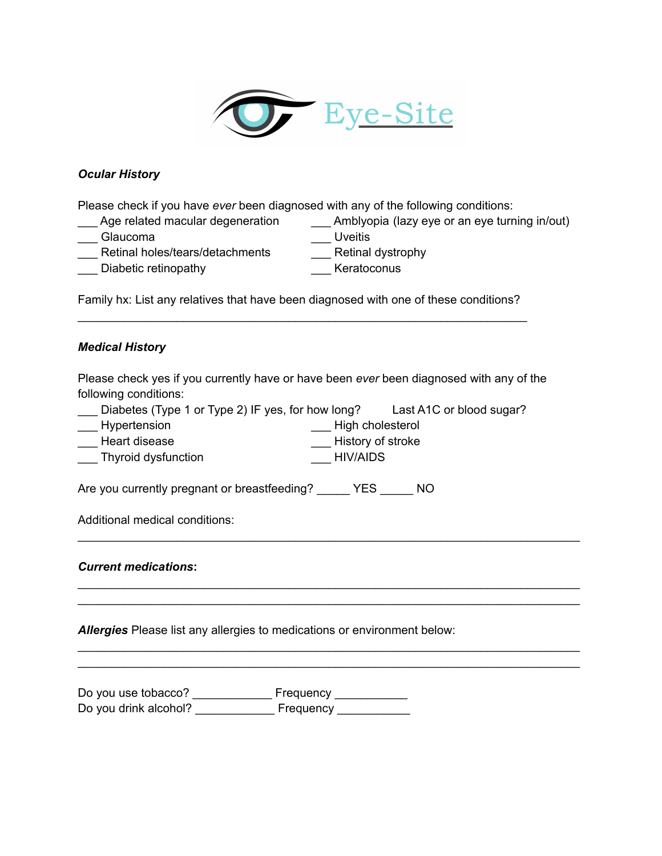

## *Ocular History*

Please check if you have *ever* been diagnosed with any of the following conditions:

- \_\_\_ Age related macular degeneration \_\_\_\_\_ Amblyopia (lazy eye or an eye turning in/out)<br>\_\_\_ Glaucoma \_\_\_\_\_\_\_\_\_\_\_\_\_\_\_\_\_\_\_\_\_\_\_\_\_\_\_\_\_\_\_\_\_Uveitis
- 
- 
- \_\_\_ Glaucoma \_\_\_\_ Uveitis<br>\_\_\_ Retinal holes/tears/detachments \_\_\_ Retinal dystrophy Retinal holes/tears/detachments
- \_\_\_ Diabetic retinopathy \_\_\_ Keratoconus
- -

Family hx: List any relatives that have been diagnosed with one of these conditions? \_\_\_\_\_\_\_\_\_\_\_\_\_\_\_\_\_\_\_\_\_\_\_\_\_\_\_\_\_\_\_\_\_\_\_\_\_\_\_\_\_\_\_\_\_\_\_\_\_\_\_\_\_\_\_\_\_\_\_\_\_\_\_\_\_\_\_\_

## *Medical History*

Please check yes if you currently have or have been *ever* been diagnosed with any of the following conditions:

\_\_\_\_\_\_\_\_\_\_\_\_\_\_\_\_\_\_\_\_\_\_\_\_\_\_\_\_\_\_\_\_\_\_\_\_\_\_\_\_\_\_\_\_\_\_\_\_\_\_\_\_\_\_\_\_\_\_\_\_\_\_\_\_\_\_\_\_\_\_\_\_\_\_\_\_

\_\_\_\_\_\_\_\_\_\_\_\_\_\_\_\_\_\_\_\_\_\_\_\_\_\_\_\_\_\_\_\_\_\_\_\_\_\_\_\_\_\_\_\_\_\_\_\_\_\_\_\_\_\_\_\_\_\_\_\_\_\_\_\_\_\_\_\_\_\_\_\_\_\_\_\_ \_\_\_\_\_\_\_\_\_\_\_\_\_\_\_\_\_\_\_\_\_\_\_\_\_\_\_\_\_\_\_\_\_\_\_\_\_\_\_\_\_\_\_\_\_\_\_\_\_\_\_\_\_\_\_\_\_\_\_\_\_\_\_\_\_\_\_\_\_\_\_\_\_\_\_\_

\_\_\_\_\_\_\_\_\_\_\_\_\_\_\_\_\_\_\_\_\_\_\_\_\_\_\_\_\_\_\_\_\_\_\_\_\_\_\_\_\_\_\_\_\_\_\_\_\_\_\_\_\_\_\_\_\_\_\_\_\_\_\_\_\_\_\_\_\_\_\_\_\_\_\_\_ \_\_\_\_\_\_\_\_\_\_\_\_\_\_\_\_\_\_\_\_\_\_\_\_\_\_\_\_\_\_\_\_\_\_\_\_\_\_\_\_\_\_\_\_\_\_\_\_\_\_\_\_\_\_\_\_\_\_\_\_\_\_\_\_\_\_\_\_\_\_\_\_\_\_\_\_

|                  | Diabetes (Type 1 or Type 2) IF yes, for how long? | Last A1C or blood sugar? |
|------------------|---------------------------------------------------|--------------------------|
| ___ Hypertension | ____ High cholesterol                             |                          |
| Heart disease    | History of stroke                                 |                          |

\_\_\_ Thyroid dysfunction \_\_\_ HIV/AIDS

Are you currently pregnant or breastfeeding? \_\_\_\_\_ YES \_\_\_\_\_ NO

Additional medical conditions:

## *Current medications***:**

*Allergies* Please list any allergies to medications or environment below:

Do you use tobacco? \_\_\_\_\_\_\_\_\_\_\_\_\_\_\_ Frequency \_\_\_\_\_\_\_\_\_\_\_\_ Do you drink alcohol? \_\_\_\_\_\_\_\_\_\_\_\_\_\_\_ Frequency \_\_\_\_\_\_\_\_\_\_\_\_